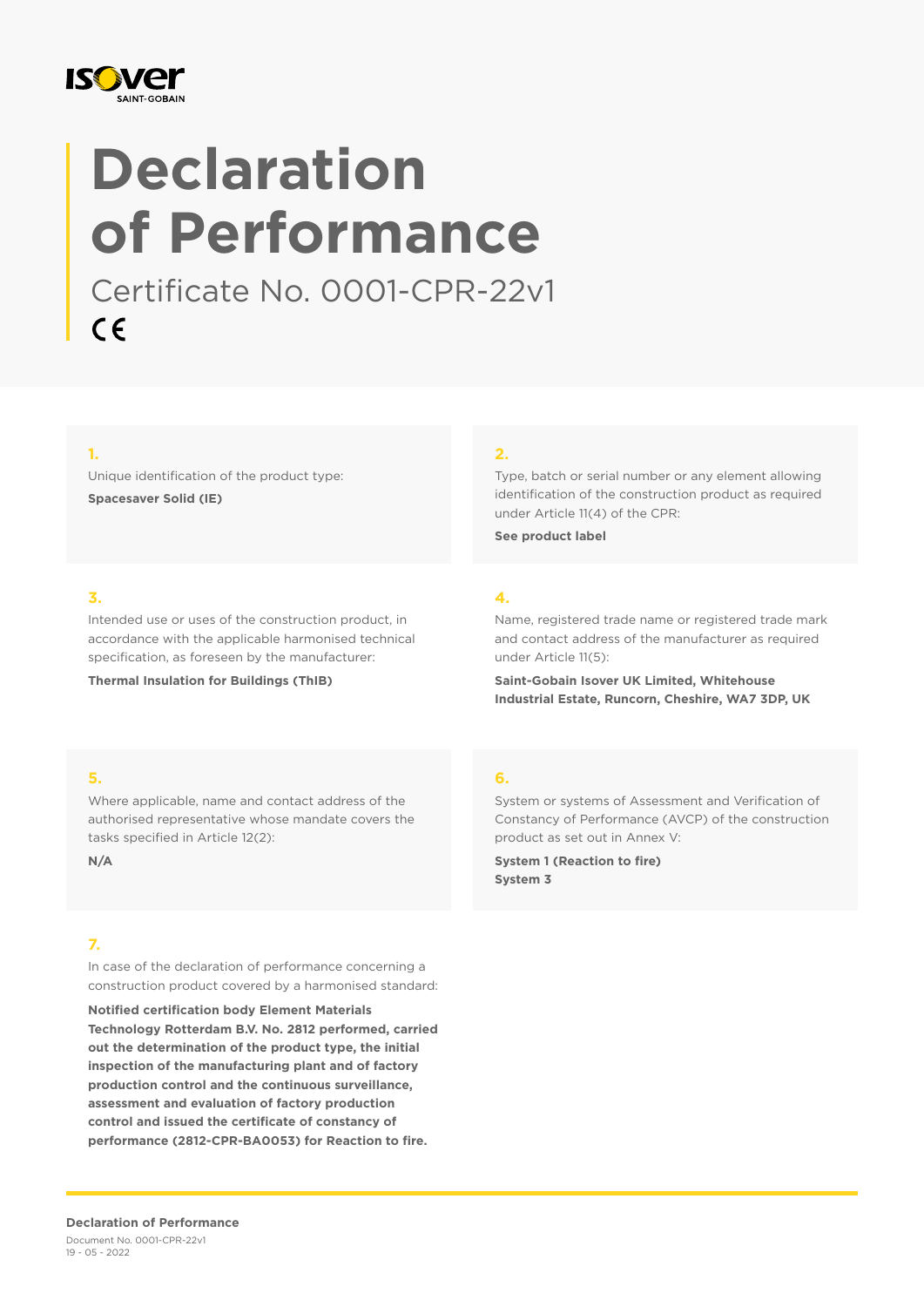

# **Declaration of Performance**

Certificate No. 0001-CPR-22v1  $C \in$ 

### **1.**

Unique identification of the product type: **Spacesaver Solid (IE)**

#### **2.**

Type, batch or serial number or any element allowing identification of the construction product as required under Article 11(4) of the CPR:

**See product label**

### **3.**

Intended use or uses of the construction product, in accordance with the applicable harmonised technical specification, as foreseen by the manufacturer:

**Thermal Insulation for Buildings (ThIB)**

## **4.**

Name, registered trade name or registered trade mark and contact address of the manufacturer as required under Article 11(5):

**Saint-Gobain Isover UK Limited, Whitehouse Industrial Estate, Runcorn, Cheshire, WA7 3DP, UK**

#### **5.**

Where applicable, name and contact address of the authorised representative whose mandate covers the tasks specified in Article 12(2):

**N/A**

### **7.**

In case of the declaration of performance concerning a construction product covered by a harmonised standard:

**Notified certification body Element Materials Technology Rotterdam B.V. No. 2812 performed, carried out the determination of the product type, the initial inspection of the manufacturing plant and of factory production control and the continuous surveillance, assessment and evaluation of factory production control and issued the certificate of constancy of performance (2812-CPR-BA0053) for Reaction to fire.**

#### **6.**

System or systems of Assessment and Verification of Constancy of Performance (AVCP) of the construction product as set out in Annex V:

**System 1 (Reaction to fire) System 3**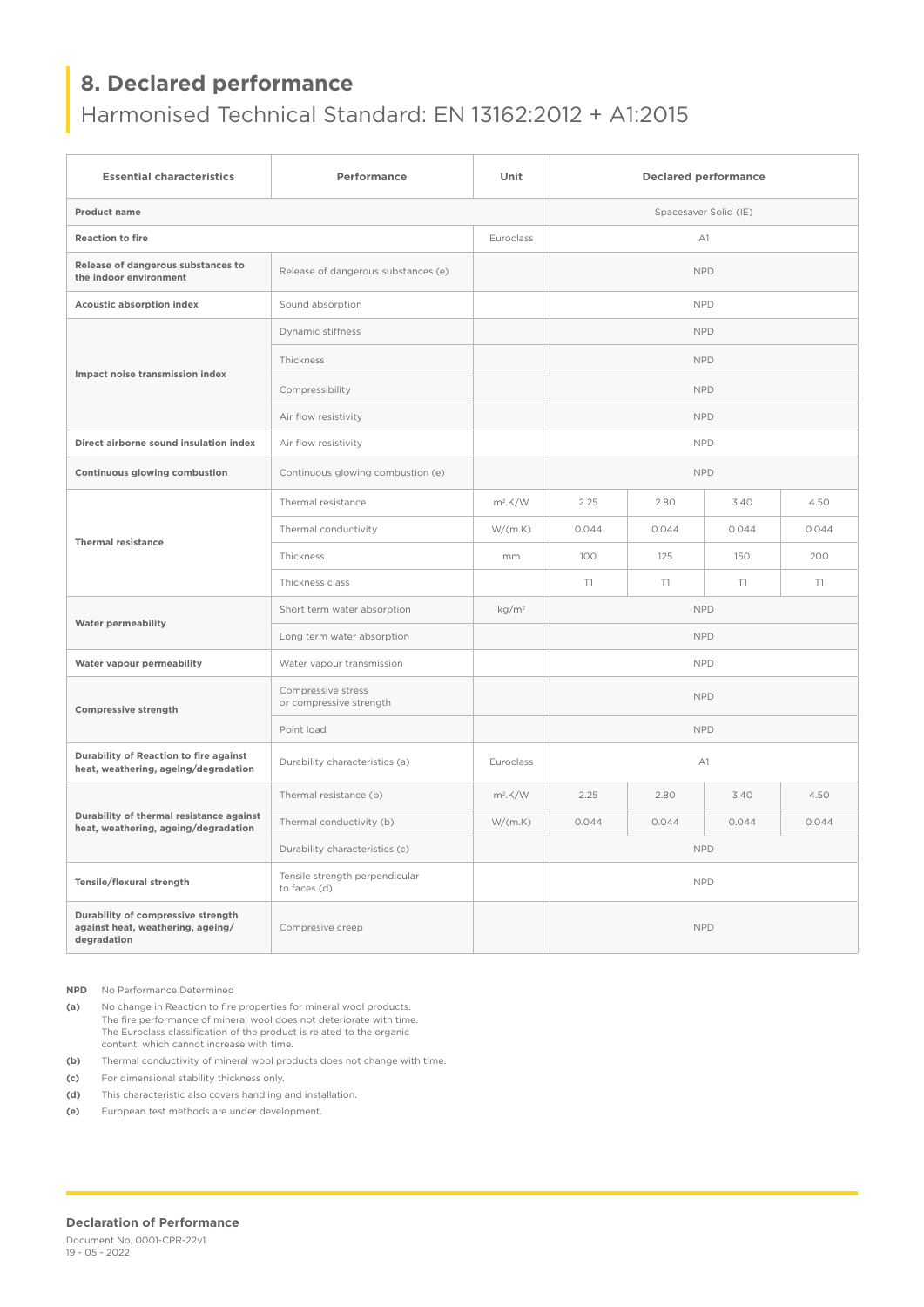# **8. Declared performance**

# Harmonised Technical Standard: EN 13162:2012 + A1:2015

| <b>Essential characteristics</b>                                                       | Performance                                    | Unit                  | <b>Declared performance</b> |       |       |       |
|----------------------------------------------------------------------------------------|------------------------------------------------|-----------------------|-----------------------------|-------|-------|-------|
| Product name                                                                           |                                                | Spacesaver Solid (IE) |                             |       |       |       |
| <b>Reaction to fire</b>                                                                |                                                | Euroclass             | A1                          |       |       |       |
| Release of dangerous substances to<br>the indoor environment                           | Release of dangerous substances (e)            |                       | <b>NPD</b>                  |       |       |       |
| <b>Acoustic absorption index</b>                                                       | Sound absorption                               |                       | <b>NPD</b>                  |       |       |       |
| Impact noise transmission index                                                        | Dynamic stiffness                              |                       | <b>NPD</b>                  |       |       |       |
|                                                                                        | Thickness                                      |                       | <b>NPD</b>                  |       |       |       |
|                                                                                        | Compressibility                                |                       | <b>NPD</b>                  |       |       |       |
|                                                                                        | Air flow resistivity                           |                       | <b>NPD</b>                  |       |       |       |
| Direct airborne sound insulation index                                                 | Air flow resistivity                           |                       | <b>NPD</b>                  |       |       |       |
| Continuous glowing combustion                                                          | Continuous glowing combustion (e)              |                       | <b>NPD</b>                  |       |       |       |
| <b>Thermal resistance</b>                                                              | Thermal resistance                             | $m^2$ .K/W            | 2.25                        | 2.80  | 3.40  | 4.50  |
|                                                                                        | Thermal conductivity                           | W/(m.K)               | 0.044                       | 0.044 | 0.044 | 0.044 |
|                                                                                        | Thickness                                      | mm                    | 100                         | 125   | 150   | 200   |
|                                                                                        | Thickness class                                |                       | T1                          | T1    | T1    | T1    |
| <b>Water permeability</b>                                                              | Short term water absorption                    | kg/m <sup>2</sup>     | <b>NPD</b>                  |       |       |       |
|                                                                                        | Long term water absorption                     |                       | <b>NPD</b>                  |       |       |       |
| Water vapour permeability                                                              | Water vapour transmission                      |                       | <b>NPD</b>                  |       |       |       |
| <b>Compressive strength</b>                                                            | Compressive stress<br>or compressive strength  |                       | <b>NPD</b>                  |       |       |       |
|                                                                                        | Point load                                     |                       | <b>NPD</b>                  |       |       |       |
| Durability of Reaction to fire against<br>heat, weathering, ageing/degradation         | Durability characteristics (a)                 | Euroclass             | A1                          |       |       |       |
| Durability of thermal resistance against<br>heat, weathering, ageing/degradation       | Thermal resistance (b)                         | $m^2$ .K/W            | 2.25                        | 2.80  | 3.40  | 4.50  |
|                                                                                        | Thermal conductivity (b)                       | W/(m.K)               | 0.044                       | 0.044 | 0.044 | 0.044 |
|                                                                                        | Durability characteristics (c)                 |                       | <b>NPD</b>                  |       |       |       |
| Tensile/flexural strength                                                              | Tensile strength perpendicular<br>to faces (d) |                       | <b>NPD</b>                  |       |       |       |
| Durability of compressive strength<br>against heat, weathering, ageing/<br>degradation | Compresive creep                               |                       | <b>NPD</b>                  |       |       |       |

**NPD** No Performance Determined

**(a)** No change in Reaction to fire properties for mineral wool products. The fire performance of mineral wool does not deteriorate with time. The Euroclass classification of the product is related to the organic content, which cannot increase with time.

**(b)** Thermal conductivity of mineral wool products does not change with time.

**(c)** For dimensional stability thickness only.

**(d)** This characteristic also covers handling and installation.

**(e)** European test methods are under development.

#### **Declaration of Performance**

Document No. 0001-CPR-22v1 19 - 05 - 2022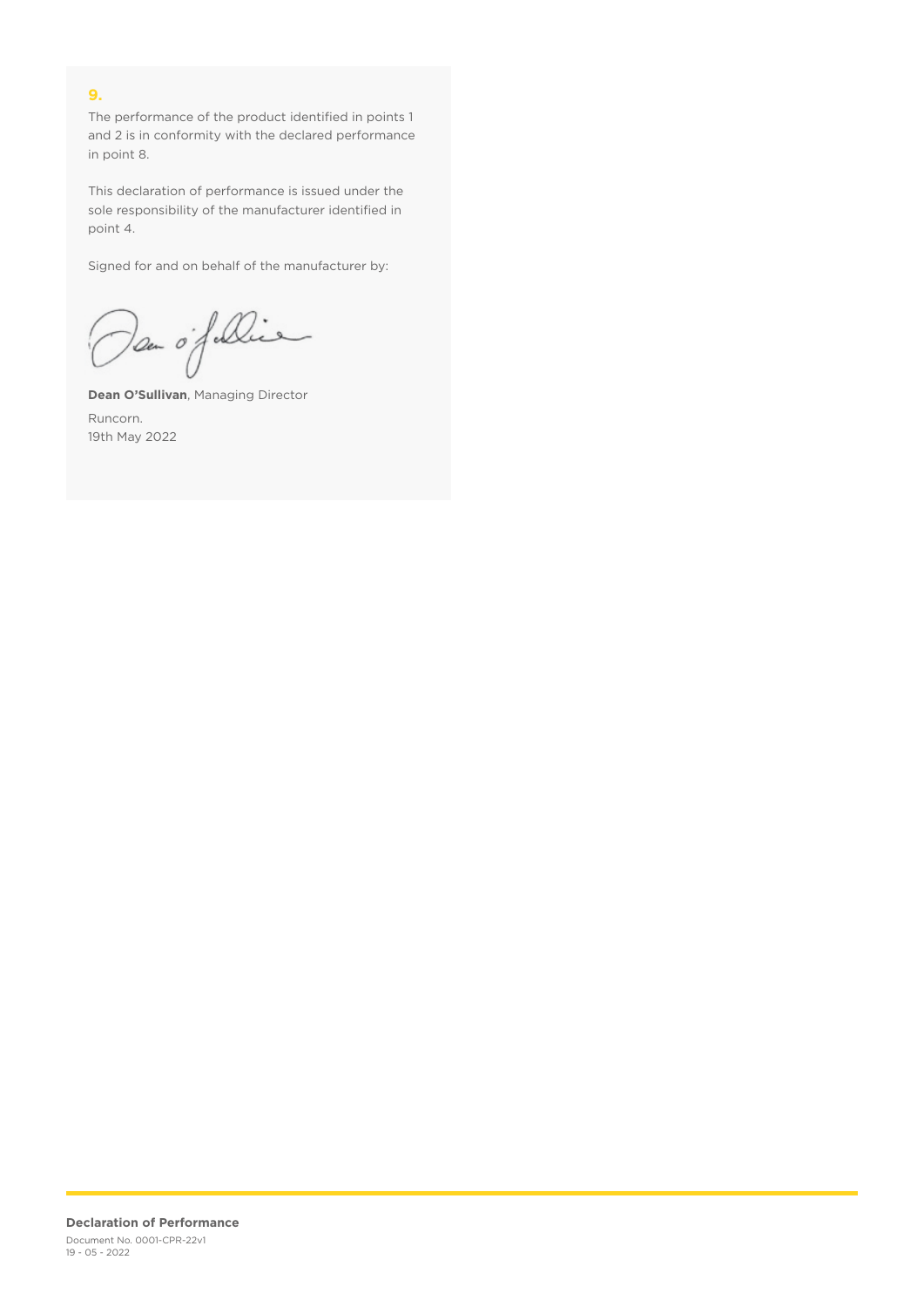## **9.**

The performance of the product identified in points 1 and 2 is in conformity with the declared performance in point 8.

This declaration of performance is issued under the sole responsibility of the manufacturer identified in point 4.

Signed for and on behalf of the manufacturer by:

Dan of Die

**Dean O'Sullivan**, Managing Director Runcorn. 19th May 2022